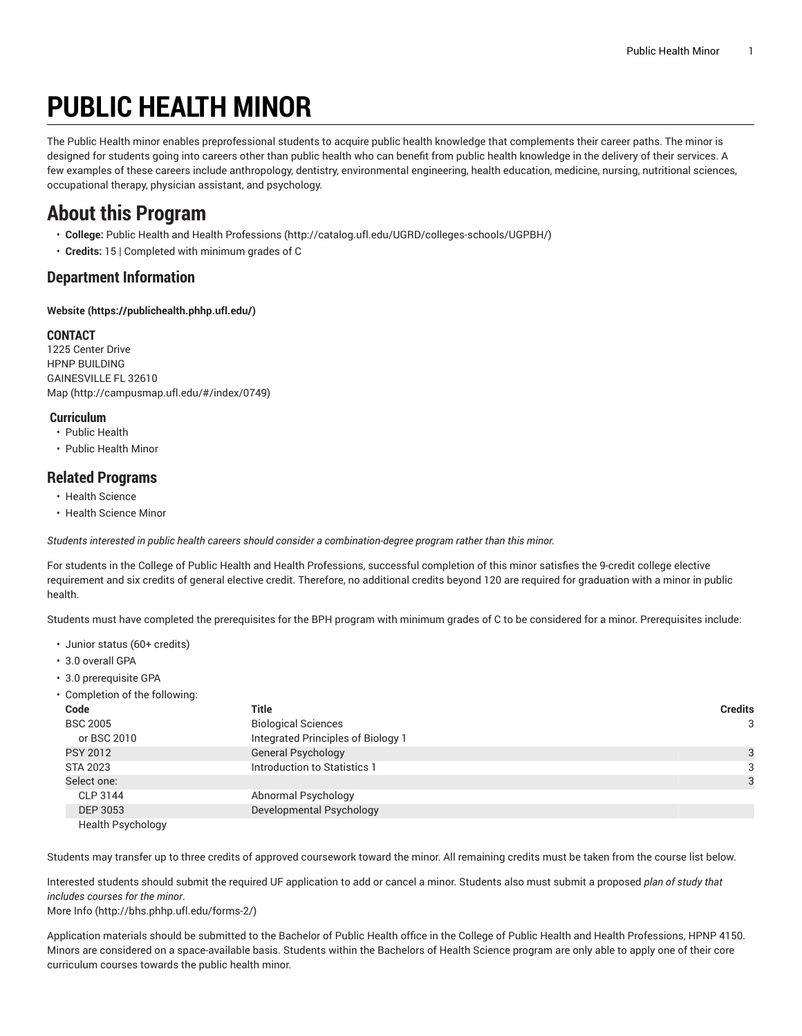# **PUBLIC HEALTH MINOR**

The Public Health minor enables preprofessional students to acquire public health knowledge that complements their career paths. The minor is designed for students going into careers other than public health who can benefit from public health knowledge in the delivery of their services. A few examples of these careers include anthropology, dentistry, environmental engineering, health education, medicine, nursing, nutritional sciences, occupational therapy, physician assistant, and psychology.

### **About this Program**

- **College:** Public Health and Health [Professions](http://catalog.ufl.edu/UGRD/colleges-schools/UGPBH/) ([http://catalog.ufl.edu/UGRD/colleges-schools/UGPBH/\)](http://catalog.ufl.edu/UGRD/colleges-schools/UGPBH/)
- **Credits:** 15 | Completed with minimum grades of C

#### **Department Information**

**[Website](https://publichealth.phhp.ufl.edu/) ([https://publichealth.phhp.ufl.edu/\)](https://publichealth.phhp.ufl.edu/)**

#### **CONTACT**

1225 Center Drive HPNP BUILDING GAINESVILLE FL 32610 [Map](http://campusmap.ufl.edu/#/index/0749) ([http://campusmap.ufl.edu/#/index/0749\)](http://campusmap.ufl.edu/#/index/0749)

#### **Curriculum**

- Public Health
- Public Health Minor

#### **Related Programs**

- Health Science
- Health Science Minor

*Students interested in public health careers should consider a combination-degree program rather than this minor.*

For students in the College of Public Health and Health Professions, successful completion of this minor satisfies the 9-credit college elective requirement and six credits of general elective credit. Therefore, no additional credits beyond 120 are required for graduation with a minor in public health.

Students must have completed the prerequisites for the BPH program with minimum grades of C to be considered for a minor. Prerequisites include:

- Junior status (60+ credits)
- 3.0 overall GPA
- 3.0 prerequisite GPA
- Completion of the following: **Code Title Credits** BSC 2005 Biological Sciences 3 or BSC 2010 **Integrated Principles of Biology 1** PSY 2012 Contract Contract Contract Contract Contract Contract Contract Contract Contract Contract Contract Contract Contract Contract Contract Contract Contract Contract Contract Contract Contract Contract Contract Contra STA 2023 STA 2023 **Introduction to Statistics 1** 3 Select one: 3 CLP 3144 Abnormal Psychology DEP 3053 Developmental Psychology Health Psychology

Students may transfer up to three credits of approved coursework toward the minor. All remaining credits must be taken from the course list below.

Interested students should submit the required UF application to add or cancel a minor. Students also must submit a proposed *plan of study that includes courses for the minor*.

[More](http://bhs.phhp.ufl.edu/forms-2/) Info [\(http://bhs.phhp.ufl.edu/forms-2/](http://bhs.phhp.ufl.edu/forms-2/))

Application materials should be submitted to the Bachelor of Public Health office in the College of Public Health and Health Professions, HPNP 4150. Minors are considered on a space-available basis. Students within the Bachelors of Health Science program are only able to apply one of their core curriculum courses towards the public health minor.